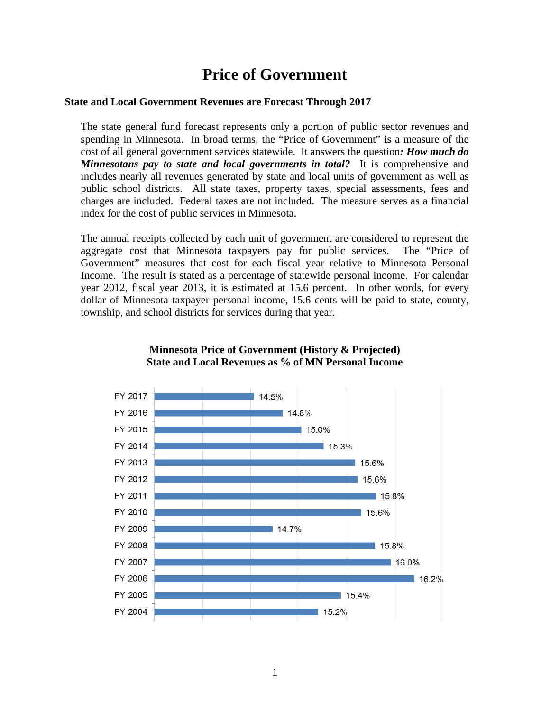# **Price of Government**

## **State and Local Government Revenues are Forecast Through 2017**

The state general fund forecast represents only a portion of public sector revenues and spending in Minnesota. In broad terms, the "Price of Government" is a measure of the cost of all general government services statewide. It answers the question*: How much do Minnesotans pay to state and local governments in total?* It is comprehensive and includes nearly all revenues generated by state and local units of government as well as public school districts. All state taxes, property taxes, special assessments, fees and charges are included. Federal taxes are not included. The measure serves as a financial index for the cost of public services in Minnesota.

The annual receipts collected by each unit of government are considered to represent the aggregate cost that Minnesota taxpayers pay for public services. The "Price of Government" measures that cost for each fiscal year relative to Minnesota Personal Income. The result is stated as a percentage of statewide personal income. For calendar year 2012, fiscal year 2013, it is estimated at 15.6 percent. In other words, for every dollar of Minnesota taxpayer personal income, 15.6 cents will be paid to state, county, township, and school districts for services during that year.



### **Minnesota Price of Government (History & Projected) State and Local Revenues as % of MN Personal Income**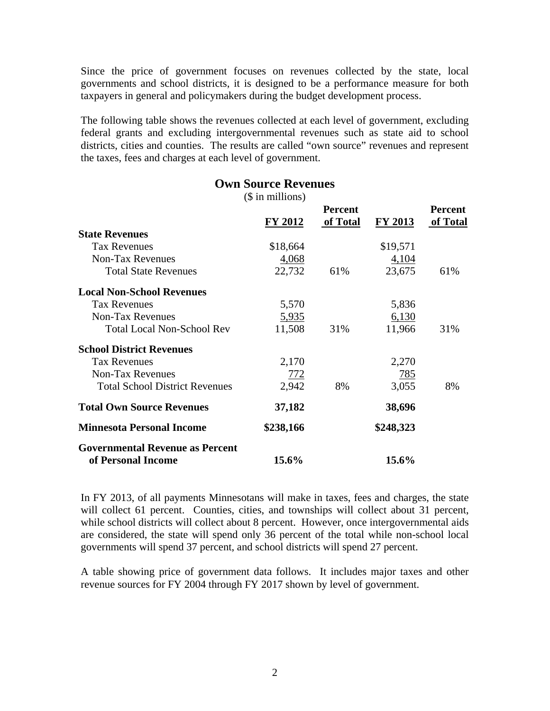Since the price of government focuses on revenues collected by the state, local governments and school districts, it is designed to be a performance measure for both taxpayers in general and policymakers during the budget development process.

The following table shows the revenues collected at each level of government, excluding federal grants and excluding intergovernmental revenues such as state aid to school districts, cities and counties. The results are called "own source" revenues and represent the taxes, fees and charges at each level of government.

|                                        | <b>Own Source Revenues</b> |                            |           |                            |  |
|----------------------------------------|----------------------------|----------------------------|-----------|----------------------------|--|
|                                        | $($$ in millions)          |                            |           |                            |  |
|                                        | <b>FY 2012</b>             | <b>Percent</b><br>of Total | FY 2013   | <b>Percent</b><br>of Total |  |
| <b>State Revenues</b>                  |                            |                            |           |                            |  |
| <b>Tax Revenues</b>                    | \$18,664                   |                            | \$19,571  |                            |  |
| <b>Non-Tax Revenues</b>                | 4,068                      |                            | 4,104     |                            |  |
| <b>Total State Revenues</b>            | 22,732                     | 61%                        | 23,675    | 61%                        |  |
| <b>Local Non-School Revenues</b>       |                            |                            |           |                            |  |
| <b>Tax Revenues</b>                    | 5,570                      |                            | 5,836     |                            |  |
| <b>Non-Tax Revenues</b>                | 5,935                      |                            | 6,130     |                            |  |
| <b>Total Local Non-School Rev</b>      | 11,508                     | 31%                        | 11,966    | 31%                        |  |
| <b>School District Revenues</b>        |                            |                            |           |                            |  |
| <b>Tax Revenues</b>                    | 2,170                      |                            | 2,270     |                            |  |
| <b>Non-Tax Revenues</b>                | <u>772</u>                 |                            | 785       |                            |  |
| <b>Total School District Revenues</b>  | 2,942                      | 8%                         | 3,055     | 8%                         |  |
| <b>Total Own Source Revenues</b>       | 37,182                     |                            | 38,696    |                            |  |
| <b>Minnesota Personal Income</b>       | \$238,166                  |                            | \$248,323 |                            |  |
| <b>Governmental Revenue as Percent</b> |                            |                            |           |                            |  |
| of Personal Income                     | 15.6%                      |                            | 15.6%     |                            |  |

In FY 2013, of all payments Minnesotans will make in taxes, fees and charges, the state will collect 61 percent. Counties, cities, and townships will collect about 31 percent, while school districts will collect about 8 percent. However, once intergovernmental aids are considered, the state will spend only 36 percent of the total while non-school local governments will spend 37 percent, and school districts will spend 27 percent.

A table showing price of government data follows. It includes major taxes and other revenue sources for FY 2004 through FY 2017 shown by level of government.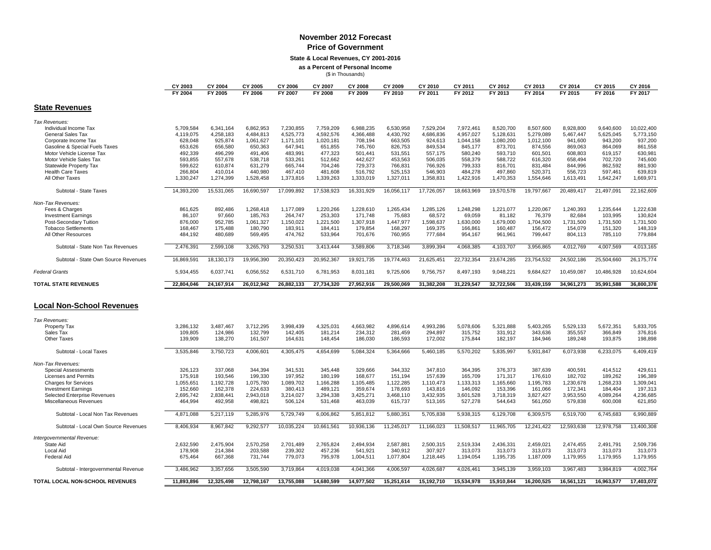#### **November 2012 Forecast Price of Government**

**State & Local Revenues, CY 2001-2016 as a Percent of Personal Income**

(\$ in Thousands)

|                                      | CY 2003        | CY 2004      | CY 2005    | CY 2006    | CY 2007    | CY 2008    | CY 2009    | CY 2010    | CY 201     | CY 2012    | CY 2013    | CY 2014    | CY 2015    | CY 2016    |
|--------------------------------------|----------------|--------------|------------|------------|------------|------------|------------|------------|------------|------------|------------|------------|------------|------------|
|                                      | <b>FY 2004</b> | FY 2005      | FY 2006    | FY 2007    | FY 2008    | FY 2009    | FY 2010    | FY 2011    | FY 2012    | FY 2013    | FY 2014    | FY 2015    | FY 2016    | FY 2017    |
| <b>State Revenues</b>                |                |              |            |            |            |            |            |            |            |            |            |            |            |            |
| Tax Revenues:                        |                |              |            |            |            |            |            |            |            |            |            |            |            |            |
| Individual Income Tax                | 5,709,584      | 6,341,164    | 6,862,953  | 7,230,855  | 7,759,209  | 6,988,235  | 6,530,958  | 7,529,204  | 7,972,461  | 8,520,700  | 8,507,600  | 8,928,800  | 9,640,600  | 10,022,400 |
| <b>General Sales Tax</b>             | 4,119,075      | 4,258,183    | 4,484,813  | 4,525,773  | 4,592,576  | 4,366,488  | 4,430,792  | 4,686,836  | 4.957.027  | 5,128,631  | 5,279,089  | 5,467,447  | 5,625,045  | 5,773,150  |
| Corporate Income Tax                 | 628,048        | 925,874      | 1,061,627  | 1,171,101  | 1,020,181  | 708,194    | 663,505    | 924,613    | 1,044,158  | 1,080,200  | 1,012,100  | 941,600    | 943,200    | 937,200    |
| Gasoline & Special Fuels Taxes       | 653,626        | 656,580      | 650,363    | 647,941    | 651,855    | 745,760    | 826,753    | 849,534    | 845,177    | 873,701    | 874,556    | 869,063    | 864,069    | 861,558    |
| Motor Vehicle License Tax            | 492,339        | 496,299      | 491,406    | 483,991    | 477,323    | 501,441    | 531,551    | 557,175    | 580,240    | 593,710    | 601,501    | 608,803    | 619,157    | 630,981    |
| Motor Vehicle Sales Tax              | 593,855        | 557,678      | 538,718    | 533,261    | 512,662    | 442,627    | 453,563    | 506,035    | 558,379    | 588,722    | 616,320    | 658,494    | 702,720    | 745,600    |
| Statewide Property Tax               | 599.622        | 610.874      | 631.279    | 665.744    | 704.246    | 729.373    | 766.831    | 766.926    | 799.333    | 816,701    | 831.484    | 844.996    | 862.592    | 881.930    |
| <b>Health Care Taxes</b>             | 266,804        | 410,014      | 440,980    | 467,410    | 481,608    | 516,792    | 525,153    | 546,903    | 484,278    | 497,860    | 520,371    | 556,723    | 597,461    | 639,819    |
| All Other Taxes                      | 1,330,247      | 1,274,399    | 1,528,458  | 1,373,816  | 1,339,263  | 1,333,019  | 1,327,011  | 1,358,831  | 1,422,916  | 1,470,353  | 1,554,646  | 1,613,491  | 1,642,247  | 1,669,971  |
| Subtotal - State Taxes               | 14,393,200     | 15,531,065   | 16,690,597 | 17,099,892 | 17,538,923 | 16,331,929 | 16,056,117 | 17,726,057 | 18,663,969 | 19,570,578 | 19,797,667 | 20,489,417 | 21,497,091 | 22,162,609 |
| Non-Tax Revenues:                    |                |              |            |            |            |            |            |            |            |            |            |            |            |            |
| Fees & Charges                       | 861,625        | 892,486      | 1,268,418  | 1,177,089  | 1.220.266  | 1.228.610  | 1,265,434  | 1,285,126  | 1,248,298  | 1,221,077  | 1,220,067  | 1,240,393  | 1,235,644  | 1,222,638  |
| <b>Investment Earnings</b>           | 86,107         | 97,660       | 185,763    | 264,747    | 253,303    | 171,748    | 75,683     | 68,572     | 69,059     | 81,182     | 76,379     | 82,684     | 103,995    | 130,824    |
|                                      |                |              |            |            |            |            |            |            |            |            |            |            |            |            |
| Post-Secondary Tuition               | 876,000        | 952,785      | 1,061,327  | 1,150,022  | 1,221,500  | 1,307,918  | 1,447,977  | 1,598,637  | 1,630,000  | 1.679.000  | 1.704.500  | 1,731,500  | 1,731,500  | 1,731,500  |
| <b>Tobacco Settlements</b>           | 168,467        | 175,488      | 180,790    | 183,911    | 184,411    | 179,854    | 168,297    | 169,375    | 166,861    | 160,487    | 156,472    | 154,079    | 151,320    | 148,319    |
| All Other Resources                  | 484,192        | 480,689      | 569,495    | 474,762    | 533,964    | 701,676    | 760,955    | 777,684    | 954,167    | 961,961    | 799,447    | 804,113    | 785,110    | 779,884    |
| Subtotal - State Non Tax Revenues    | 2,476,39       | 2,599,108    | 3,265,793  | 3,250,531  | 3,413,444  | 3,589,806  | 3,718,346  | 3,899,394  | 4,068,385  | 4,103,707  | 3,956,865  | 4,012,769  | 4,007,569  | 4,013,165  |
| Subtotal - State Own Source Revenues | 16,869,59      | 18,130,173   | 19,956,390 | 20,350,423 | 20,952,367 | 19,921,735 | 19,774,463 | 21,625,451 | 22,732,354 | 23,674,285 | 23,754,532 | 24,502,186 | 25,504,660 | 26,175,774 |
| <b>Federal Grants</b>                | 5,934,455      | 6,037,741    | 6,056,552  | 6,531,710  | 6,781,953  | 8,031,181  | 9,725,606  | 9,756,757  | 8,497,193  | 9,048,221  | 9,684,627  | 10,459,087 | 10,486,928 | 10,624,604 |
| <b>TOTAL STATE REVENUES</b>          | 22.804.046     | 24, 167, 914 | 26.012.942 | 26,882,133 | 27,734,320 | 27.952.916 | 29,500,069 | 31,382,208 | 31,229,547 | 32.722.506 | 33,439,159 | 34,961,273 | 35,991,588 | 36,800,378 |
| <b>Local Non-School Revenues</b>     |                |              |            |            |            |            |            |            |            |            |            |            |            |            |
|                                      |                |              |            |            |            |            |            |            |            |            |            |            |            |            |
| Tax Revenues:                        |                |              |            |            |            |            |            |            |            |            |            |            |            |            |
| <b>Property Tax</b>                  | 3.286.132      | 3.487.467    | 3.712.295  | 3.998.439  | 4,325,031  | 4.663.982  | 4.896.614  | 4.993.286  | 5.078.606  | 5.321.888  | 5.403.265  | 5,529,133  | 5,672,351  | 5,833,705  |
| Sales Tax                            | 109,805        | 124,986      | 132,799    | 142,405    | 181,214    | 234,312    | 281,459    | 294,897    | 315,752    | 331.912    | 343.636    | 355,557    | 366,849    | 376,816    |
| <b>Other Taxes</b>                   | 139,909        | 138,270      | 161,507    | 164,631    | 148,454    | 186,030    | 186,593    | 172,002    | 175,844    | 182,197    | 184,946    | 189,248    | 193,875    | 198,898    |
| Subtotal - Local Taxes               | 3,535,846      | 3,750,723    | 4,006,601  | 4,305,475  | 4,654,699  | 5,084,324  | 5,364,666  | 5,460,185  | 5,570,202  | 5,835,997  | 5,931,847  | 6,073,938  | 6,233,075  | 6,409,419  |
| Non-Tax Revenues:                    |                |              |            |            |            |            |            |            |            |            |            |            |            |            |
| Special Assessments                  | 326,123        | 337,068      | 344,394    | 341.531    | 345.448    | 329.666    | 344.332    | 347,810    | 364.395    | 376.373    | 387.639    | 400,591    | 414,512    | 429,611    |
| <b>Licenses and Permits</b>          | 175,918        | 193,546      | 199,330    | 197,952    | 180,199    | 168,677    | 151,194    | 157,639    | 165,709    | 171,317    | 176,610    | 182,702    | 189,262    | 196,389    |
| <b>Charges for Services</b>          | 1,055,651      | 1,192,728    | 1,075,780  | 1,089,702  | 1,166,288  | 1,105,485  | 1,122,285  | 1,110,473  | 1,133,313  | 1,165,660  | 1,195,783  | 1,230,678  | 1,268,233  | 1,309,041  |
| <b>Investment Earnings</b>           | 152,660        | 162,378      | 224,633    | 380,413    | 489,121    | 359,674    | 178,693    | 143,816    | 146,092    | 153,396    | 161.066    | 172,341    | 184,404    | 197,313    |
| Selected Enterprise Revenues         | 2,695,742      | 2,838,441    | 2,943,018  | 3,214,027  | 3,294,338  | 3,425,271  | 3,468,110  | 3,432,935  | 3,601,528  | 3,718,319  | 3,827,427  | 3,953,550  | 4,089,264  | 4,236,685  |
| Miscellaneous Revenues               | 464,994        | 492,958      | 498,821    | 506,124    | 531,468    | 463,039    | 615,737    | 513,165    | 527,278    | 544,643    | 561,050    | 579,838    | 600,008    | 621,850    |
| Subtotal - Local Non Tax Revenues    | 4,871,088      | 5,217,119    | 5,285,976  | 5,729,749  | 6,006,862  | 5,851,812  | 5,880,351  | 5,705,838  | 5,938,315  | 6,129,708  | 6,309,575  | 6,519,700  | 6,745,683  | 6,990,889  |
|                                      |                |              |            |            |            |            |            |            |            |            |            |            |            |            |
| Subtotal - Local Own Source Revenues | 8,406,934      | 8,967,842    | 9,292,577  | 10,035,224 | 10,661,561 | 10,936,136 | 11,245,017 | 11,166,023 | 11,508,517 | 11,965,705 | 12,241,422 | 12,593,638 | 12,978,758 | 13,400,308 |
| Intergovernmental Revenue:           |                |              |            |            |            |            |            |            |            |            |            |            |            |            |
| State Aid                            | 2,632,590      | 2,475,904    | 2,570,258  | 2,701,489  | 2,765,824  | 2.494.934  | 2,587,881  | 2,500,315  | 2,519,334  | 2,436,331  | 2,459,021  | 2,474,455  | 2,491,791  | 2,509,736  |
| Local Aid                            | 178.908        | 214,384      | 203,588    | 239,302    | 457,236    | 541.921    | 340,912    | 307,927    | 313,073    | 313,073    | 313,073    | 313,073    | 313,073    | 313,073    |
| <b>Federal Aid</b>                   | 675,464        | 667,368      | 731,744    | 779,073    | 795,978    | 1,004,511  | 1,077,804  | 1,218,445  | 1,194,054  | 1,195,735  | 1,187,009  | 1,179,955  | 1,179,955  | 1,179,955  |
| Subtotal - Intergovernmental Revenue | 3,486,962      | 3,357,656    | 3,505,590  | 3,719,864  | 4,019,038  | 4,041,366  | 4,006,597  | 4,026,687  | 4,026,461  | 3,945,139  | 3,959,103  | 3,967,483  | 3,984,819  | 4,002,764  |
| TOTAL LOCAL NON-SCHOOL REVENUES      | 11,893,896     | 12,325,498   | 12,798,167 | 13,755,088 | 14,680,599 | 14,977,502 | 15,251,614 | 15,192,710 | 15,534,978 | 15,910,844 | 16,200,525 | 16,561,121 | 16,963,577 | 17,403,072 |